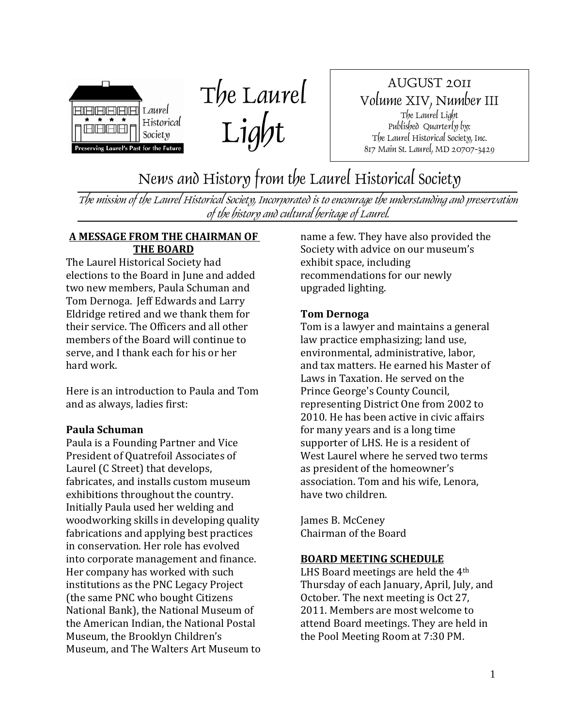



AUGUST 2011 Volume XIV, Number III The Laurel Light Published Quarterly by: The Laurel Historical Society, Inc. 817 Main St. Laurel, MD 20707-3429

News and History from the Laurel Historical Society

The mission of the Laurel Historical Society, Incorporated is to encourage the understanding and preservation of the history and cultural heritage of Laurel.

#### **A MESSAGE FROM THE CHAIRMAN OF THE BOARD**

The Laurel Historical Society had elections to the Board in June and added two new members, Paula Schuman and Tom Dernoga. Jeff Edwards and Larry Eldridge retired and we thank them for their service. The Officers and all other members of the Board will continue to serve, and I thank each for his or her hard work.

Here is an introduction to Paula and Tom and as always, ladies first:

#### **Paula Schuman**

Paula is a Founding Partner and Vice President of Quatrefoil Associates of Laurel (C Street) that develops, fabricates, and installs custom museum exhibitions throughout the country. Initially Paula used her welding and woodworking skills in developing quality fabrications and applying best practices in conservation. Her role has evolved into corporate management and finance. Her company has worked with such institutions as the PNC Legacy Project (the same PNC who bought Citizens National Bank), the National Museum of the American Indian, the National Postal Museum, the Brooklyn Children's Museum, and The Walters Art Museum to name a few. They have also provided the Society with advice on our museum's exhibit space, including recommendations for our newly upgraded lighting.

#### **Tom Dernoga**

Tom is a lawyer and maintains a general law practice emphasizing; land use, environmental, administrative, labor, and tax matters. He earned his Master of Laws in Taxation. He served on the Prince George's County Council, representing District One from 2002 to 2010. He has been active in civic affairs for many years and is a long time supporter of LHS. He is a resident of West Laurel where he served two terms as president of the homeowner's association. Tom and his wife, Lenora, have two children.

James B. McCeney Chairman of the Board

#### **BOARD MEETING SCHEDULE**

LHS Board meetings are held the 4th Thursday of each January, April, July, and October. The next meeting is Oct 27, 2011. Members are most welcome to attend Board meetings. They are held in the Pool Meeting Room at 7:30 PM.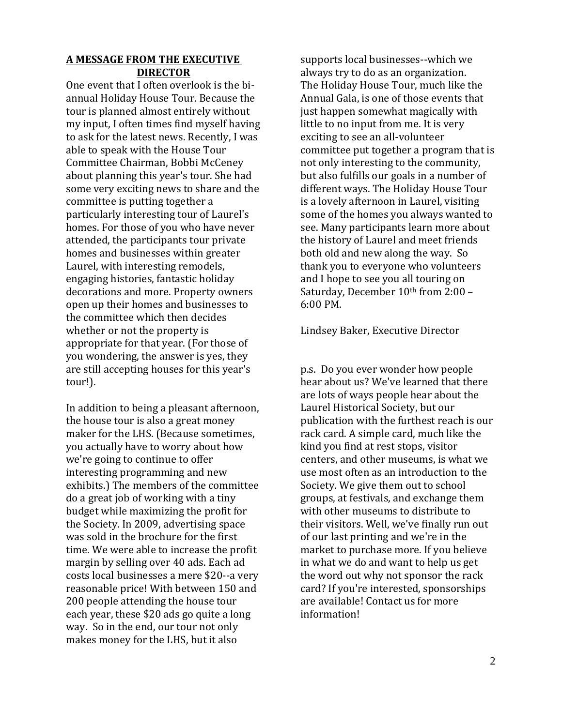#### **A MESSAGE FROM THE EXECUTIVE DIRECTOR**

One event that I often overlook is the biannual Holiday House Tour. Because the tour is planned almost entirely without my input, I often times find myself having to ask for the latest news. Recently, I was able to speak with the House Tour Committee Chairman, Bobbi McCeney about planning this year's tour. She had some very exciting news to share and the committee is putting together a particularly interesting tour of Laurel's homes. For those of you who have never attended, the participants tour private homes and businesses within greater Laurel, with interesting remodels, engaging histories, fantastic holiday decorations and more. Property owners open up their homes and businesses to the committee which then decides whether or not the property is appropriate for that year. (For those of you wondering, the answer is yes, they are still accepting houses for this year's tour!).

In addition to being a pleasant afternoon, the house tour is also a great money maker for the LHS. (Because sometimes, you actually have to worry about how we're going to continue to offer interesting programming and new exhibits.) The members of the committee do a great job of working with a tiny budget while maximizing the profit for the Society. In 2009, advertising space was sold in the brochure for the first time. We were able to increase the profit margin by selling over 40 ads. Each ad costs local businesses a mere \$20--a very reasonable price! With between 150 and 200 people attending the house tour each year, these \$20 ads go quite a long way. So in the end, our tour not only makes money for the LHS, but it also

supports local businesses--which we always try to do as an organization. The Holiday House Tour, much like the Annual Gala, is one of those events that just happen somewhat magically with little to no input from me. It is very exciting to see an all-volunteer committee put together a program that is not only interesting to the community, but also fulfills our goals in a number of different ways. The Holiday House Tour is a lovely afternoon in Laurel, visiting some of the homes you always wanted to see. Many participants learn more about the history of Laurel and meet friends both old and new along the way. So thank you to everyone who volunteers and I hope to see you all touring on Saturday, December 10<sup>th</sup> from 2:00 -6:00 PM.

Lindsey Baker, Executive Director

p.s. Do you ever wonder how people hear about us? We've learned that there are lots of ways people hear about the Laurel Historical Society, but our publication with the furthest reach is our rack card. A simple card, much like the kind you find at rest stops, visitor centers, and other museums, is what we use most often as an introduction to the Society. We give them out to school groups, at festivals, and exchange them with other museums to distribute to their visitors. Well, we've finally run out of our last printing and we're in the market to purchase more. If you believe in what we do and want to help us get the word out why not sponsor the rack card? If you're interested, sponsorships are available! Contact us for more information!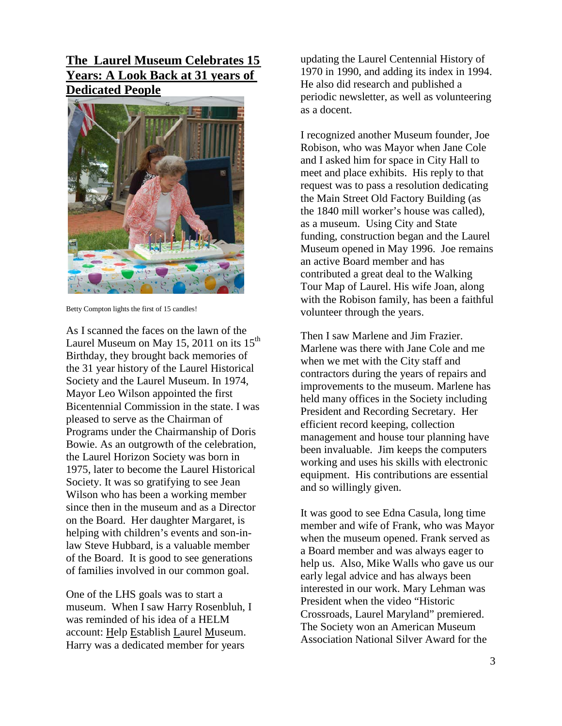**The Laurel Museum Celebrates 15 Years: A Look Back at 31 years of Dedicated People**



Betty Compton lights the first of 15 candles!

As I scanned the faces on the lawn of the Laurel Museum on May 15, 2011 on its  $15<sup>th</sup>$ Birthday, they brought back memories of the 31 year history of the Laurel Historical Society and the Laurel Museum. In 1974, Mayor Leo Wilson appointed the first Bicentennial Commission in the state. I was pleased to serve as the Chairman of Programs under the Chairmanship of Doris Bowie. As an outgrowth of the celebration, the Laurel Horizon Society was born in 1975, later to become the Laurel Historical Society. It was so gratifying to see Jean Wilson who has been a working member since then in the museum and as a Director on the Board. Her daughter Margaret, is helping with children's events and son-inlaw Steve Hubbard, is a valuable member of the Board. It is good to see generations of families involved in our common goal.

One of the LHS goals was to start a museum. When I saw Harry Rosenbluh, I was reminded of his idea of a HELM account: Help Establish Laurel Museum. Harry was a dedicated member for years

updating the Laurel Centennial History of 1970 in 1990, and adding its index in 1994. He also did research and published a periodic newsletter, as well as volunteering as a docent.

I recognized another Museum founder, Joe Robison, who was Mayor when Jane Cole and I asked him for space in City Hall to meet and place exhibits. His reply to that request was to pass a resolution dedicating the Main Street Old Factory Building (as the 1840 mill worker's house was called), as a museum. Using City and State funding, construction began and the Laurel Museum opened in May 1996. Joe remains an active Board member and has contributed a great deal to the Walking Tour Map of Laurel. His wife Joan, along with the Robison family, has been a faithful volunteer through the years.

Then I saw Marlene and Jim Frazier. Marlene was there with Jane Cole and me when we met with the City staff and contractors during the years of repairs and improvements to the museum. Marlene has held many offices in the Society including President and Recording Secretary. Her efficient record keeping, collection management and house tour planning have been invaluable. Jim keeps the computers working and uses his skills with electronic equipment. His contributions are essential and so willingly given.

It was good to see Edna Casula, long time member and wife of Frank, who was Mayor when the museum opened. Frank served as a Board member and was always eager to help us. Also, Mike Walls who gave us our early legal advice and has always been interested in our work. Mary Lehman was President when the video "Historic Crossroads, Laurel Maryland" premiered. The Society won an American Museum Association National Silver Award for the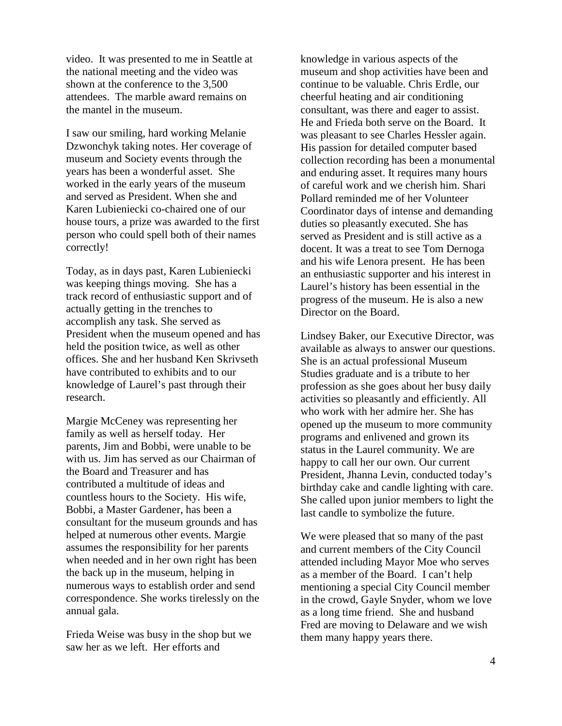video. It was presented to me in Seattle at the national meeting and the video was shown at the conference to the 3,500 attendees. The marble award remains on the mantel in the museum.

I saw our smiling, hard working Melanie Dzwonchyk taking notes. Her coverage of museum and Society events through the years has been a wonderful asset. She worked in the early years of the museum and served as President. When she and Karen Lubieniecki co-chaired one of our house tours, a prize was awarded to the first person who could spell both of their names correctly!

Today, as in days past, Karen Lubieniecki was keeping things moving. She has a track record of enthusiastic support and of actually getting in the trenches to accomplish any task. She served as President when the museum opened and has held the position twice, as well as other offices. She and her husband Ken Skrivseth have contributed to exhibits and to our knowledge of Laurel's past through their research.

Margie McCeney was representing her family as well as herself today. Her parents, Jim and Bobbi, were unable to be with us. Jim has served as our Chairman of the Board and Treasurer and has contributed a multitude of ideas and countless hours to the Society. His wife, Bobbi, a Master Gardener, has been a consultant for the museum grounds and has helped at numerous other events. Margie assumes the responsibility for her parents when needed and in her own right has been the back up in the museum, helping in numerous ways to establish order and send correspondence. She works tirelessly on the annual gala.

Frieda Weise was busy in the shop but we saw her as we left. Her efforts and

knowledge in various aspects of the museum and shop activities have been and continue to be valuable. Chris Erdle, our cheerful heating and air conditioning consultant, was there and eager to assist. He and Frieda both serve on the Board. It was pleasant to see Charles Hessler again. His passion for detailed computer based collection recording has been a monumental and enduring asset. It requires many hours of careful work and we cherish him. Shari Pollard reminded me of her Volunteer Coordinator days of intense and demanding duties so pleasantly executed. She has served as President and is still active as a docent. It was a treat to see Tom Dernoga and his wife Lenora present. He has been an enthusiastic supporter and his interest in Laurel's history has been essential in the progress of the museum. He is also a new Director on the Board.

Lindsey Baker, our Executive Director, was available as always to answer our questions. She is an actual professional Museum Studies graduate and is a tribute to her profession as she goes about her busy daily activities so pleasantly and efficiently. All who work with her admire her. She has opened up the museum to more community programs and enlivened and grown its status in the Laurel community. We are happy to call her our own. Our current President, Jhanna Levin, conducted today's birthday cake and candle lighting with care. She called upon junior members to light the last candle to symbolize the future.

We were pleased that so many of the past and current members of the City Council attended including Mayor Moe who serves as a member of the Board. I can't help mentioning a special City Council member in the crowd, Gayle Snyder, whom we love as a long time friend. She and husband Fred are moving to Delaware and we wish them many happy years there.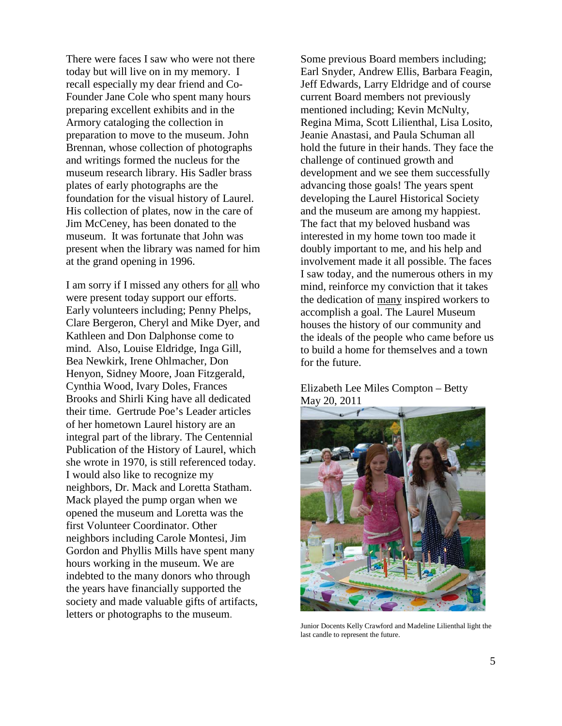There were faces I saw who were not there today but will live on in my memory. I recall especially my dear friend and Co-Founder Jane Cole who spent many hours preparing excellent exhibits and in the Armory cataloging the collection in preparation to move to the museum. John Brennan, whose collection of photographs and writings formed the nucleus for the museum research library. His Sadler brass plates of early photographs are the foundation for the visual history of Laurel. His collection of plates, now in the care of Jim McCeney, has been donated to the museum. It was fortunate that John was present when the library was named for him at the grand opening in 1996.

I am sorry if I missed any others for all who were present today support our efforts. Early volunteers including; Penny Phelps, Clare Bergeron, Cheryl and Mike Dyer, and Kathleen and Don Dalphonse come to mind. Also, Louise Eldridge, Inga Gill, Bea Newkirk, Irene Ohlmacher, Don Henyon, Sidney Moore, Joan Fitzgerald, Cynthia Wood, Ivary Doles, Frances Brooks and Shirli King have all dedicated their time. Gertrude Poe's Leader articles of her hometown Laurel history are an integral part of the library. The Centennial Publication of the History of Laurel, which she wrote in 1970, is still referenced today. I would also like to recognize my neighbors, Dr. Mack and Loretta Statham. Mack played the pump organ when we opened the museum and Loretta was the first Volunteer Coordinator. Other neighbors including Carole Montesi, Jim Gordon and Phyllis Mills have spent many hours working in the museum. We are indebted to the many donors who through the years have financially supported the society and made valuable gifts of artifacts, letters or photographs to the museum.

Some previous Board members including; Earl Snyder, Andrew Ellis, Barbara Feagin, Jeff Edwards, Larry Eldridge and of course current Board members not previously mentioned including; Kevin McNulty, Regina Mima, Scott Lilienthal, Lisa Losito, Jeanie Anastasi, and Paula Schuman all hold the future in their hands. They face the challenge of continued growth and development and we see them successfully advancing those goals! The years spent developing the Laurel Historical Society and the museum are among my happiest. The fact that my beloved husband was interested in my home town too made it doubly important to me, and his help and involvement made it all possible. The faces I saw today, and the numerous others in my mind, reinforce my conviction that it takes the dedication of many inspired workers to accomplish a goal. The Laurel Museum houses the history of our community and the ideals of the people who came before us to build a home for themselves and a town for the future.

#### Elizabeth Lee Miles Compton – Betty May 20, 2011



Junior Docents Kelly Crawford and Madeline Lilienthal light the last candle to represent the future.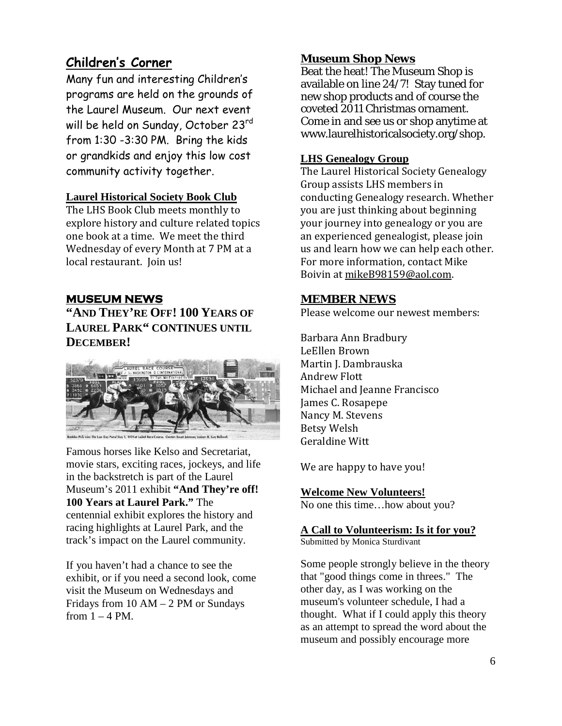### **Children's Corner**

Many fun and interesting Children's programs are held on the grounds of the Laurel Museum. Our next event will be held on Sunday, October 23rd from 1:30 -3:30 PM. Bring the kids or grandkids and enjoy this low cost community activity together.

#### **Laurel Historical Society Book Club**

The LHS Book Club meets monthly to explore history and culture related topics one book at a time. We meet the third Wednesday of every Month at 7 PM at a local restaurant. Join us!

### **MUSEUM NEWS**

**"AND THEY'RE OFF! 100 YEARS OF LAUREL PARK" CONTINUES UNTIL DECEMBER!**



Famous horses like Kelso and Secretariat, movie stars, exciting races, jockeys, and life in the backstretch is part of the Laurel Museum's 2011 exhibit **"And They're off! 100 Years at Laurel Park."** The centennial exhibit explores the history and racing highlights at Laurel Park, and the track's impact on the Laurel community.

If you haven't had a chance to see the exhibit, or if you need a second look, come visit the Museum on Wednesdays and Fridays from 10 AM – 2 PM or Sundays from  $1 - 4$  PM.

#### **Museum Shop News**

Beat the heat! The Museum Shop is available on line 24/7! Stay tuned for new shop products and of course the coveted 2011 Christmas ornament. Come in and see us or shop anytime at www.laurelhistoricalsociety.org/shop.

#### **LHS Genealogy Group**

The Laurel Historical Society Genealogy Group assists LHS members in conducting Genealogy research. Whether you are just thinking about beginning your journey into genealogy or you are an experienced genealogist, please join us and learn how we can help each other. For more information, contact Mike Boivin at <u>mikeB98159@aol.com</u>.

#### **MEMBER NEWS**

Please welcome our newest members:

Barbara Ann Bradbury LeEllen Brown Martin J. Dambrauska Andrew Flott Michael and Jeanne Francisco James C. Rosapepe Nancy M. Stevens Betsy Welsh Geraldine Witt

We are happy to have you!

No one this time…how about you? **Welcome New Volunteers!**

### **A Call to Volunteerism: Is it for you?**

Submitted by Monica Sturdivant

Some people strongly believe in the theory that "good things come in threes." The other day, as I was working on the museum's volunteer schedule, I had a thought. What if I could apply this theory as an attempt to spread the word about the museum and possibly encourage more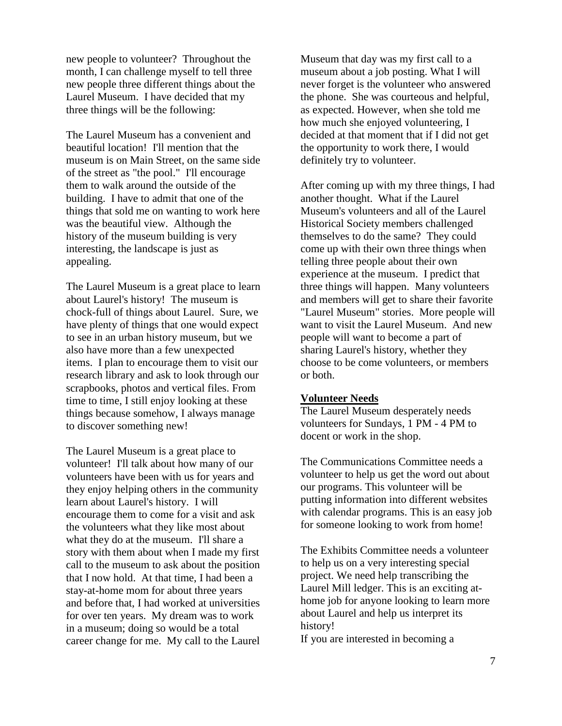new people to volunteer? Throughout the month, I can challenge myself to tell three new people three different things about the Laurel Museum. I have decided that my three things will be the following:

The Laurel Museum has a convenient and beautiful location! I'll mention that the museum is on Main Street, on the same side of the street as "the pool." I'll encourage them to walk around the outside of the building. I have to admit that one of the things that sold me on wanting to work here was the beautiful view. Although the history of the museum building is very interesting, the landscape is just as appealing.

The Laurel Museum is a great place to learn about Laurel's history! The museum is chock-full of things about Laurel. Sure, we have plenty of things that one would expect to see in an urban history museum, but we also have more than a few unexpected items. I plan to encourage them to visit our research library and ask to look through our scrapbooks, photos and vertical files. From time to time, I still enjoy looking at these things because somehow, I always manage to discover something new!

The Laurel Museum is a great place to volunteer! I'll talk about how many of our volunteers have been with us for years and they enjoy helping others in the community learn about Laurel's history. I will encourage them to come for a visit and ask the volunteers what they like most about what they do at the museum. I'll share a story with them about when I made my first call to the museum to ask about the position that I now hold. At that time, I had been a stay-at-home mom for about three years and before that, I had worked at universities for over ten years. My dream was to work in a museum; doing so would be a total career change for me. My call to the Laurel

Museum that day was my first call to a museum about a job posting. What I will never forget is the volunteer who answered the phone. She was courteous and helpful, as expected. However, when she told me how much she enjoyed volunteering, I decided at that moment that if I did not get the opportunity to work there, I would definitely try to volunteer.

After coming up with my three things, I had another thought. What if the Laurel Museum's volunteers and all of the Laurel Historical Society members challenged themselves to do the same? They could come up with their own three things when telling three people about their own experience at the museum. I predict that three things will happen. Many volunteers and members will get to share their favorite "Laurel Museum" stories. More people will want to visit the Laurel Museum. And new people will want to become a part of sharing Laurel's history, whether they choose to be come volunteers, or members or both.

#### **Volunteer Needs**

The Laurel Museum desperately needs volunteers for Sundays, 1 PM - 4 PM to docent or work in the shop.

The Communications Committee needs a volunteer to help us get the word out about our programs. This volunteer will be putting information into different websites with calendar programs. This is an easy job for someone looking to work from home!

The Exhibits Committee needs a volunteer to help us on a very interesting special project. We need help transcribing the Laurel Mill ledger. This is an exciting athome job for anyone looking to learn more about Laurel and help us interpret its history!

If you are interested in becoming a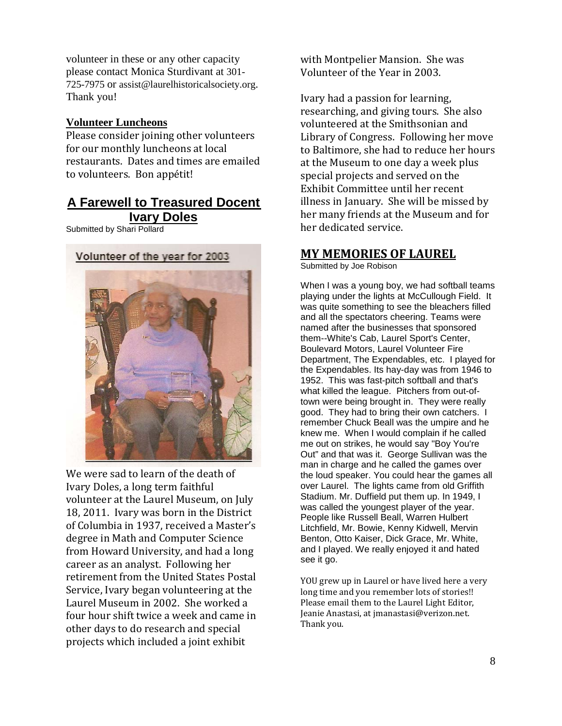volunteer in these or any other capacity please contact Monica Sturdivant at 301- 725-7975 or assist@laurelhistoricalsociety.org. Thank you!

#### **Volunteer Luncheons**

Please consider joining other volunteers for our monthly luncheons at local restaurants. Dates and times are emailed to volunteers. Bon appétit!

#### **A Farewell to Treasured Docent Ivary Doles**

Submitted by Shari Pollard





We were sad to learn of the death of Ivary Doles, a long term faithful volunteer at the Laurel Museum, on July 18, 2011. Ivary was born in the District of Columbia in 1937, received a Master's degree in Math and Computer Science from Howard University, and had a long career as an analyst. Following her retirement from the United States Postal Service, Ivary began volunteering at the Laurel Museum in 2002. She worked a four hour shift twice a week and came in other days to do research and special projects which included a joint exhibit

with Montpelier Mansion. She was Volunteer of the Year in 2003.

Ivary had a passion for learning, researching, and giving tours. She also volunteered at the Smithsonian and Library of Congress. Following her move to Baltimore, she had to reduce her hours at the Museum to one day a week plus special projects and served on the Exhibit Committee until her recent illness in January. She will be missed by her many friends at the Museum and for her dedicated service.

#### **MY MEMORIES OF LAUREL**

Submitted by Joe Robison

When I was a young boy, we had softball teams playing under the lights at McCullough Field. It was quite something to see the bleachers filled and all the spectators cheering. Teams were named after the businesses that sponsored them--White's Cab, Laurel Sport's Center, Boulevard Motors, Laurel Volunteer Fire Department, The Expendables, etc. I played for the Expendables. Its hay-day was from 1946 to 1952. This was fast-pitch softball and that's what killed the league. Pitchers from out-oftown were being brought in. They were really good. They had to bring their own catchers. I remember Chuck Beall was the umpire and he knew me. When I would complain if he called me out on strikes, he would say "Boy You're Out" and that was it. George Sullivan was the man in charge and he called the games over the loud speaker. You could hear the games all over Laurel. The lights came from old Griffith Stadium. Mr. Duffield put them up. In 1949, I was called the youngest player of the year. People like Russell Beall, Warren Hulbert Litchfield, Mr. Bowie, Kenny Kidwell, Mervin Benton, Otto Kaiser, Dick Grace, Mr. White, and I played. We really enjoyed it and hated see it go.

YOU grew up in Laurel or have lived here a very long time and you remember lots of stories!! Please email them to the Laurel Light Editor, Jeanie Anastasi, at jmanastasi@verizon.net. Thank you.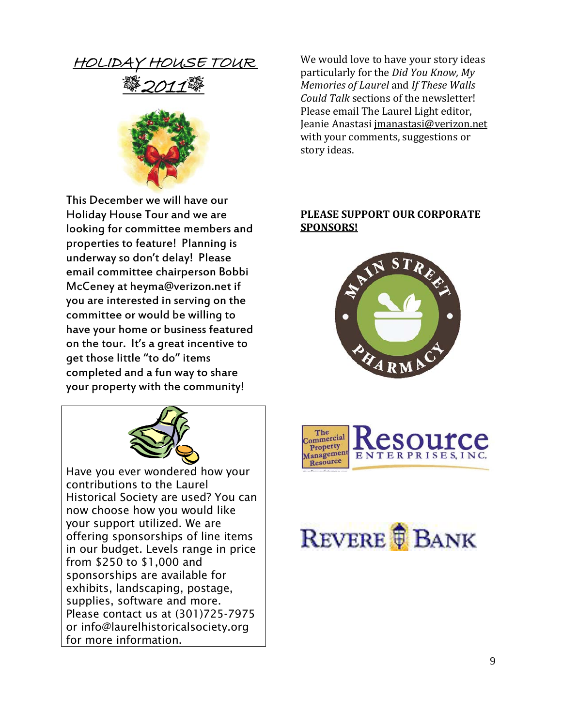HOLIDAY HOUSE TOUR





This December we will have our Holiday House Tour and we are looking for committee members and properties to feature! Planning is underway so don't delay! Please email committee chairperson Bobbi McCeney at heyma@verizon.net if you are interested in serving on the committee or would be willing to have your home or business featured on the tour. It's a great incentive to get those little "to do" items completed and a fun way to share your property with the community!



Have you ever wondered how your contributions to the Laurel Historical Society are used? You can now choose how you would like your support utilized. We are offering sponsorships of line items in our budget. Levels range in price from \$250 to \$1,000 and sponsorships are available for exhibits, landscaping, postage, supplies, software and more. Please contact us at (301)725-7975 or info@laurelhistoricalsociety.org for more information.

We would love to have your story ideas particularly for the *Did You Know, My Memories of Laurel* and *If These Walls Could Talk* sections of the newsletter! Please email The Laurel Light editor, Jeanie Anastasi jmanastasi@verizon.net with your comments, suggestions or story ideas.

#### **PLEASE SUPPORT OUR CORPORATE SPONSORS!**





# REVERE **BANK**